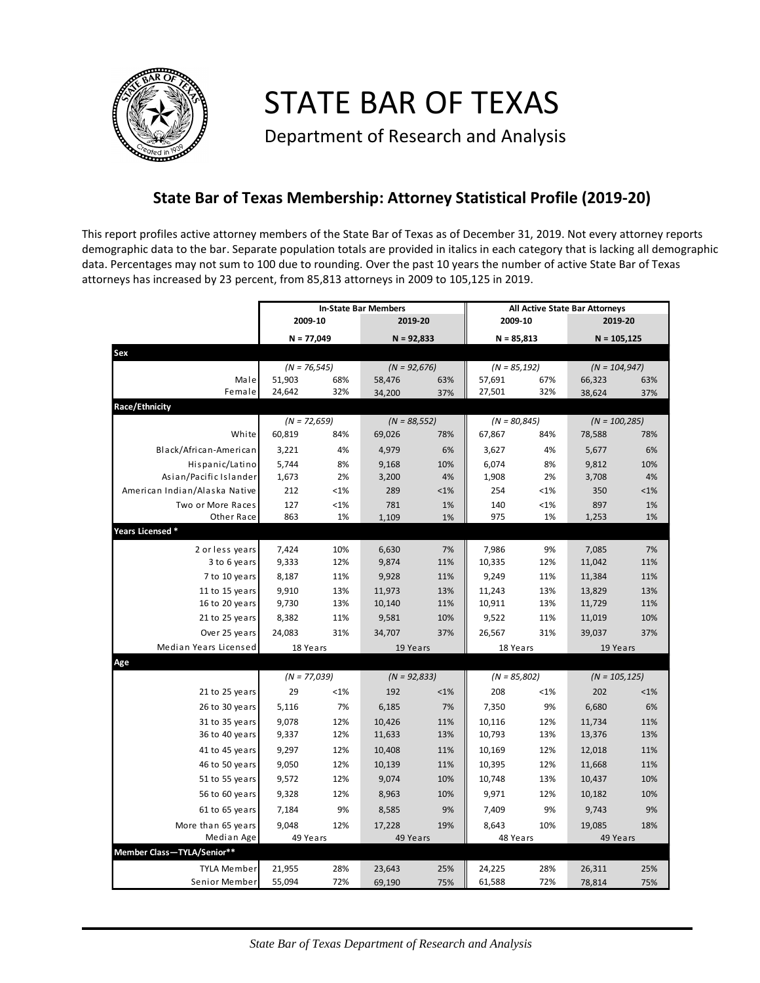

STATE BAR OF TEXAS

Department of Research and Analysis

## **State Bar of Texas Membership: Attorney Statistical Profile (2019-20)**

This report profiles active attorney members of the State Bar of Texas as of December 31, 2019. Not every attorney reports demographic data to the bar. Separate population totals are provided in italics in each category that is lacking all demographic data. Percentages may not sum to 100 due to rounding. Over the past 10 years the number of active State Bar of Texas attorneys has increased by 23 percent, from 85,813 attorneys in 2009 to 105,125 in 2019.

|                               | <b>In-State Bar Members</b> |         |                 |         | All Active State Bar Attorneys |     |                  |         |  |
|-------------------------------|-----------------------------|---------|-----------------|---------|--------------------------------|-----|------------------|---------|--|
|                               | 2009-10                     |         | 2019-20         |         | 2009-10                        |     | 2019-20          |         |  |
|                               | $N = 77,049$                |         | $N = 92,833$    |         | $N = 85,813$                   |     | $N = 105,125$    |         |  |
| Sex                           |                             |         |                 |         |                                |     |                  |         |  |
|                               | $(N = 76, 545)$             |         | $(N = 92,676)$  |         | $(N = 85, 192)$                |     | $(N = 104, 947)$ |         |  |
| Male                          | 51,903                      | 68%     | 58,476          | 63%     | 57,691                         | 67% | 66,323           | 63%     |  |
| Female                        | 24,642                      | 32%     | 34,200          | 37%     | 27,501                         | 32% | 38,624           | 37%     |  |
| Race/Ethnicity                |                             |         |                 |         |                                |     |                  |         |  |
|                               | $(N = 72,659)$              |         | $(N = 88, 552)$ |         | $(N = 80, 845)$                |     | $(N = 100, 285)$ |         |  |
| White                         | 60,819                      | 84%     | 69,026          | 78%     | 67,867                         | 84% | 78,588           | 78%     |  |
| Black/African-American        | 3,221                       | 4%      | 4,979           | 6%      | 3,627                          | 4%  | 5,677            | 6%      |  |
| Hispanic/Latino               | 5,744                       | 8%      | 9,168           | 10%     | 6,074                          | 8%  | 9,812            | 10%     |  |
| Asian/Pacific Islander        | 1,673                       | 2%      | 3,200           | 4%      | 1,908                          | 2%  | 3,708            | 4%      |  |
| American Indian/Alaska Native | 212                         | $< 1\%$ | 289             | $< 1\%$ | 254                            | <1% | 350              | $< 1\%$ |  |
| Two or More Races             | 127                         | <1%     | 781             | 1%      | 140                            | <1% | 897              | 1%      |  |
| Other Race                    | 863                         | 1%      | 1,109           | 1%      | 975                            | 1%  | 1,253            | 1%      |  |
| Years Licensed *              |                             |         |                 |         |                                |     |                  |         |  |
| 2 or less years               | 7,424                       | 10%     | 6,630           | 7%      | 7,986                          | 9%  | 7,085            | 7%      |  |
| 3 to 6 years                  | 9,333                       | 12%     | 9,874           | 11%     | 10,335                         | 12% | 11,042           | 11%     |  |
| 7 to 10 years                 | 8,187                       | 11%     | 9,928           | 11%     | 9,249                          | 11% | 11,384           | 11%     |  |
| 11 to 15 years                | 9,910                       | 13%     | 11,973          | 13%     | 11,243                         | 13% | 13,829           | 13%     |  |
| 16 to 20 years                | 9,730                       | 13%     | 10,140          | 11%     | 10,911                         | 13% | 11,729           | 11%     |  |
| 21 to 25 years                | 8,382                       | 11%     | 9,581           | 10%     | 9,522                          | 11% | 11,019           | 10%     |  |
| Over 25 years                 | 24,083                      | 31%     | 34,707          | 37%     | 26,567                         | 31% | 39,037           | 37%     |  |
| Median Years Licensed         | 18 Years                    |         | 19 Years        |         | 18 Years                       |     | 19 Years         |         |  |
| Age                           |                             |         |                 |         |                                |     |                  |         |  |
|                               | $(N = 77,039)$              |         | $(N = 92,833)$  |         | $(N = 85,802)$                 |     | $(N = 105, 125)$ |         |  |
| 21 to 25 years                | 29                          | $< 1\%$ | 192             | $< 1\%$ | 208                            | <1% | 202              | $< 1\%$ |  |
| 26 to 30 years                | 5,116                       | 7%      | 6,185           | 7%      | 7,350                          | 9%  | 6,680            | 6%      |  |
| 31 to 35 years                | 9,078                       | 12%     | 10,426          | 11%     | 10,116                         | 12% | 11,734           | 11%     |  |
| 36 to 40 years                | 9,337                       | 12%     | 11,633          | 13%     | 10,793                         | 13% | 13,376           | 13%     |  |
| 41 to 45 years                | 9,297                       | 12%     | 10,408          | 11%     | 10,169                         | 12% | 12,018           | 11%     |  |
| 46 to 50 years                | 9,050                       | 12%     | 10,139          | 11%     | 10,395                         | 12% | 11,668           | 11%     |  |
| 51 to 55 years                | 9,572                       | 12%     | 9,074           | 10%     | 10,748                         | 13% | 10,437           | 10%     |  |
| 56 to 60 years                | 9,328                       | 12%     | 8,963           | 10%     | 9,971                          | 12% | 10,182           | 10%     |  |
| 61 to 65 years                | 7,184                       | 9%      | 8,585           | 9%      | 7,409                          | 9%  | 9,743            | 9%      |  |
| More than 65 years            | 9,048                       | 12%     | 17,228          | 19%     | 8,643                          | 10% | 19,085           | 18%     |  |
| Median Age                    | 49 Years                    |         | 49 Years        |         | 48 Years                       |     | 49 Years         |         |  |
| Member Class-TYLA/Senior**    |                             |         |                 |         |                                |     |                  |         |  |
| TYLA Member                   | 21,955                      | 28%     | 23,643          | 25%     | 24,225                         | 28% | 26,311           | 25%     |  |
| Senior Member                 | 55,094                      | 72%     | 69,190          | 75%     | 61,588                         | 72% | 78,814           | 75%     |  |
|                               |                             |         |                 |         |                                |     |                  |         |  |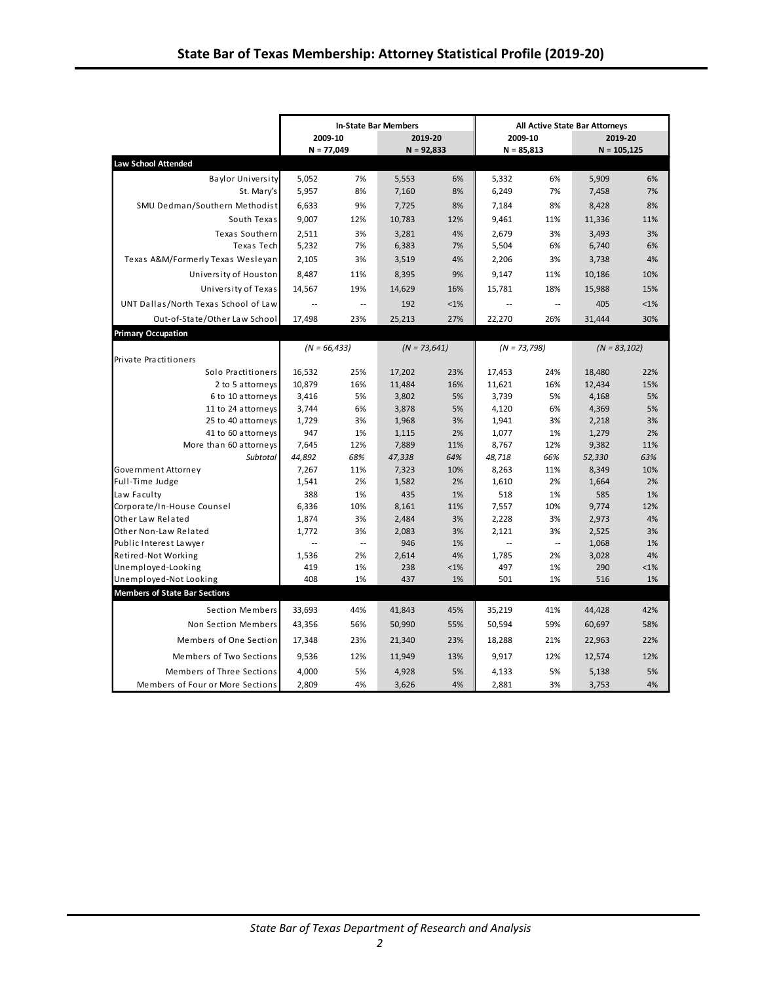|                                                 |                 |                     | <b>In-State Bar Members</b> |          | <b>All Active State Bar Attorneys</b> |                                   |                 |          |  |
|-------------------------------------------------|-----------------|---------------------|-----------------------------|----------|---------------------------------------|-----------------------------------|-----------------|----------|--|
|                                                 | 2009-10         |                     | 2019-20                     |          | 2009-10                               |                                   | 2019-20         |          |  |
|                                                 | $N = 77,049$    |                     | $N = 92,833$                |          | $N = 85,813$                          |                                   | $N = 105, 125$  |          |  |
| <b>Law School Attended</b>                      |                 |                     |                             |          |                                       |                                   |                 |          |  |
| <b>Baylor University</b>                        | 5.052           | 7%                  | 5,553                       | 6%       | 5,332                                 | 6%                                | 5,909           | 6%       |  |
| St. Mary's                                      | 5,957           | 8%                  | 7,160                       | 8%       | 6,249                                 | 7%                                | 7,458           | 7%       |  |
| SMU Dedman/Southern Methodist                   | 6,633           | 9%                  | 7,725                       | 8%       | 7,184                                 | 8%                                | 8,428           | 8%       |  |
| South Texas                                     | 9,007           | 12%                 | 10,783                      | 12%      | 9,461                                 | 11%                               | 11,336          | 11%      |  |
| Texas Southern                                  | 2,511           | 3%                  | 3,281                       | 4%       | 2,679                                 | 3%                                | 3,493           | 3%       |  |
| Texas Tech                                      | 5,232           | 7%                  | 6,383                       | 7%       | 5,504                                 | 6%                                | 6,740           | 6%       |  |
| Texas A&M/Formerly Texas Wesleyan               | 2,105           | 3%                  | 3,519                       | 4%       | 2,206                                 | 3%                                | 3,738           | 4%       |  |
| University of Houston                           | 8,487           | 11%                 | 8,395                       | 9%       | 9,147                                 | 11%                               | 10,186          | 10%      |  |
| University of Texas                             | 14,567          | 19%                 | 14,629                      | 16%      | 15,781                                | 18%                               | 15,988          | 15%      |  |
| UNT Dallas/North Texas School of Law            | $\sim$          | $\sim$              | 192                         | $< 1\%$  | $\sim$                                | $\mathcal{L}_{\mathcal{A}}$       | 405             | $< 1\%$  |  |
| Out-of-State/Other Law School                   | 17,498          | 23%                 | 25,213                      | 27%      | 22,270                                | 26%                               | 31,444          | 30%      |  |
|                                                 |                 |                     |                             |          |                                       |                                   |                 |          |  |
| <b>Primary Occupation</b>                       |                 |                     |                             |          |                                       |                                   |                 |          |  |
|                                                 | $(N = 66,433)$  |                     | $(N = 73,641)$              |          | $(N = 73,798)$                        |                                   | $(N = 83, 102)$ |          |  |
| Private Practitioners<br>Solo Practitioners     | 16,532          | 25%                 | 17,202                      | 23%      | 17,453                                | 24%                               | 18,480          | 22%      |  |
| 2 to 5 attorneys                                | 10.879          | 16%                 | 11,484                      | 16%      | 11,621                                | 16%                               | 12,434          | 15%      |  |
| 6 to 10 attorneys                               | 3,416           | 5%                  | 3,802                       | 5%       | 3,739                                 | 5%                                | 4,168           | 5%       |  |
| 11 to 24 attorneys                              | 3,744           | 6%                  | 3,878                       | 5%       | 4,120                                 | 6%                                | 4,369           | 5%       |  |
| 25 to 40 attorneys                              | 1,729           | 3%                  | 1,968                       | 3%       | 1,941                                 | 3%                                | 2,218           | 3%       |  |
| 41 to 60 attorneys                              | 947             | 1%                  | 1,115                       | 2%       | 1,077                                 | 1%                                | 1,279           | 2%       |  |
| More than 60 attorneys                          | 7,645           | 12%                 | 7,889                       | 11%      | 8,767                                 | 12%                               | 9,382           | 11%      |  |
| Subtotal                                        | 44,892          | 68%                 | 47,338                      | 64%      | 48,718                                | 66%                               | 52,330          | 63%      |  |
| Government Attorney                             | 7,267           | 11%                 | 7,323                       | 10%      | 8,263                                 | 11%                               | 8,349           | 10%      |  |
| Full-Time Judge                                 | 1,541           | 2%                  | 1,582                       | 2%       | 1,610                                 | 2%                                | 1,664           | 2%       |  |
| Law Faculty                                     | 388             | 1%                  | 435                         | 1%       | 518                                   | 1%                                | 585             | 1%       |  |
| Corporate/In-House Counsel                      | 6,336           | 10%                 | 8,161                       | 11%      | 7,557                                 | 10%                               | 9,774           | 12%      |  |
| Other Law Related                               | 1,874           | 3%                  | 2,484                       | 3%       | 2,228                                 | 3%                                | 2,973           | 4%       |  |
| Other Non-Law Related<br>Public Interest Lawyer | 1,772<br>$\sim$ | 3%<br>$\sim$ $\sim$ | 2,083<br>946                | 3%<br>1% | 2,121<br>$\mathbb{Z}^2$               | 3%<br>$\mathcal{L}_{\mathcal{A}}$ | 2,525<br>1,068  | 3%<br>1% |  |
| Retired-Not Working                             | 1,536           | 2%                  | 2,614                       | 4%       | 1,785                                 | 2%                                | 3,028           | 4%       |  |
| Unemployed-Looking                              | 419             | 1%                  | 238                         | $< 1\%$  | 497                                   | 1%                                | 290             | $< 1\%$  |  |
| Unemployed-Not Looking                          | 408             | 1%                  | 437                         | 1%       | 501                                   | 1%                                | 516             | 1%       |  |
| <b>Members of State Bar Sections</b>            |                 |                     |                             |          |                                       |                                   |                 |          |  |
| <b>Section Members</b>                          | 33,693          | 44%                 | 41,843                      | 45%      | 35,219                                | 41%                               | 44,428          | 42%      |  |
| Non Section Members                             | 43,356          | 56%                 | 50,990                      | 55%      | 50,594                                | 59%                               | 60,697          | 58%      |  |
| Members of One Section                          | 17,348          | 23%                 | 21,340                      | 23%      | 18,288                                | 21%                               | 22,963          | 22%      |  |
| Members of Two Sections                         | 9,536           | 12%                 | 11,949                      | 13%      | 9,917                                 | 12%                               | 12,574          | 12%      |  |
| Members of Three Sections                       | 4,000           | 5%                  | 4,928                       | 5%       | 4,133                                 | 5%                                | 5,138           | 5%       |  |
| Members of Four or More Sections                | 2,809           | 4%                  | 3,626                       | 4%       | 2,881                                 | 3%                                | 3,753           | 4%       |  |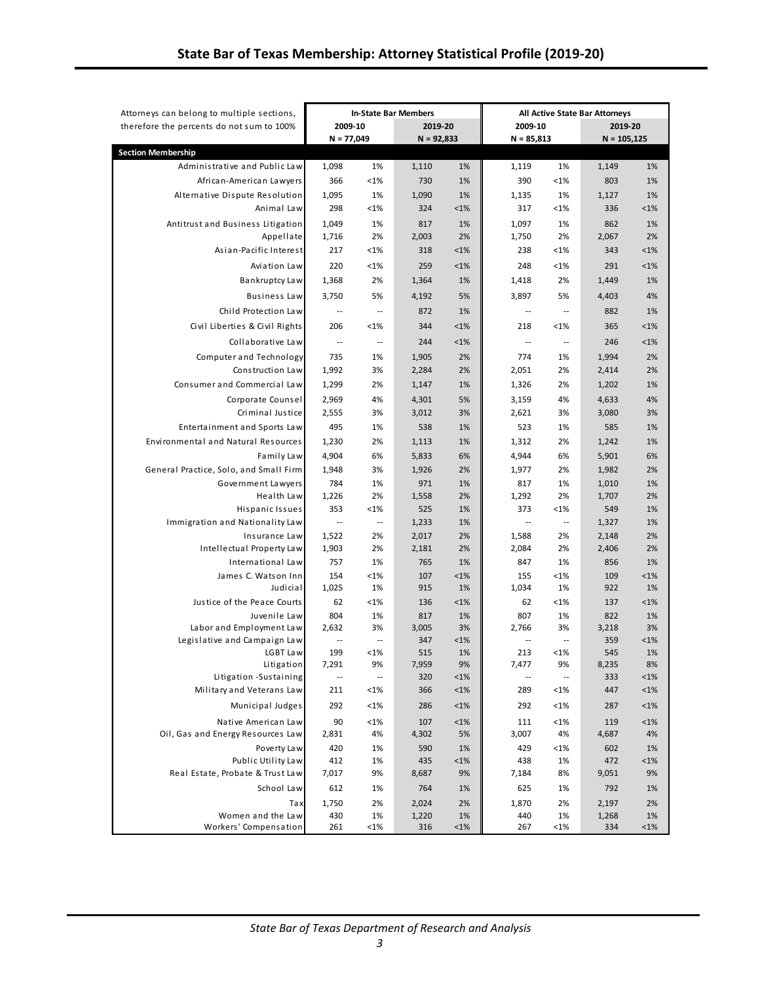| Attorneys can belong to multiple sections,               | <b>In-State Bar Members</b>       |                          |              |               | <b>All Active State Bar Attorneys</b> |                                |               |               |
|----------------------------------------------------------|-----------------------------------|--------------------------|--------------|---------------|---------------------------------------|--------------------------------|---------------|---------------|
| therefore the percents do not sum to 100%                | 2009-10                           |                          | 2019-20      |               | 2009-10                               |                                | 2019-20       |               |
|                                                          | $N = 77,049$                      |                          | $N = 92,833$ |               | $N = 85,813$                          |                                | $N = 105,125$ |               |
| <b>Section Membership</b>                                |                                   |                          |              |               |                                       |                                |               |               |
| Administrative and Public Law                            | 1,098                             | 1%                       | 1,110        | 1%            | 1,119                                 | 1%                             | 1,149         | 1%            |
| African-American Lawyers                                 | 366                               | $< 1\%$                  | 730          | 1%            | 390                                   | $< 1\%$                        | 803           | 1%            |
| Alternative Dispute Resolution                           | 1,095                             | 1%                       | 1,090        | 1%            | 1,135                                 | 1%                             | 1,127         | 1%            |
| Animal Law                                               | 298                               | $< 1\%$                  | 324          | $< 1\%$       | 317                                   | $< 1\%$                        | 336           | $< 1\%$       |
| Antitrust and Business Litigation                        | 1,049                             | 1%                       | 817          | 1%            | 1,097                                 | 1%                             | 862           | 1%            |
| Appellate                                                | 1,716                             | 2%                       | 2,003        | 2%            | 1,750                                 | 2%                             | 2,067         | 2%            |
| Asian-Pacific Interest                                   | 217                               | $< 1\%$                  | 318          | $< 1\%$       | 238                                   | $< 1\%$                        | 343           | < 1%          |
| Aviation Law                                             | 220                               | $< 1\%$                  | 259          | $< 1\%$       | 248                                   | $< 1\%$                        | 291           | $< 1\%$       |
| Bankruptcy Law                                           | 1,368                             | 2%                       | 1,364        | 1%            | 1,418                                 | 2%                             | 1,449         | 1%            |
| <b>Business Law</b>                                      | 3,750                             | 5%                       | 4,192        | 5%            | 3,897                                 | 5%                             | 4,403         | 4%            |
| Child Protection Law                                     | $\overline{\phantom{a}}$          | $\sim$                   | 872          | 1%            | ٠.                                    | $\overline{\phantom{a}}$       | 882           | 1%            |
| Civil Liberties & Civil Rights                           | 206                               | $< 1\%$                  | 344          | $< 1\%$       | 218                                   | $< 1\%$                        | 365           | < 1%          |
| Collaborative Law                                        | $\overline{\phantom{m}}$          | $\overline{\phantom{a}}$ | 244          | $< 1\%$       | $\overline{\phantom{a}}$              | $\overline{\phantom{a}}$       | 246           | $< 1\%$       |
| Computer and Technology                                  | 735                               | 1%                       | 1,905        | 2%            | 774                                   | 1%                             | 1,994         | 2%            |
| Construction Law                                         | 1,992                             | 3%                       | 2,284        | 2%            | 2,051                                 | 2%                             | 2,414         | 2%            |
| Consumer and Commercial Law                              | 1,299                             | 2%                       | 1,147        | 1%            | 1,326                                 | 2%                             | 1,202         | 1%            |
| Corporate Counsel                                        | 2,969                             | 4%                       | 4,301        | 5%            | 3,159                                 | 4%                             | 4,633         | 4%            |
| Criminal Justice                                         | 2,555                             | 3%                       | 3,012        | 3%            | 2,621                                 | 3%                             | 3,080         | 3%            |
| Entertainment and Sports Law                             | 495                               | 1%                       | 538          | 1%            | 523                                   | 1%                             | 585           | 1%            |
| <b>Environmental and Natural Resources</b>               | 1,230                             | 2%                       | 1,113        | 1%            | 1,312                                 | 2%                             | 1,242         | 1%            |
| Family Law                                               | 4,904                             | 6%                       | 5,833        | 6%            | 4,944                                 | 6%                             | 5,901         | 6%            |
| General Practice, Solo, and Small Firm                   | 1,948                             | 3%                       | 1,926        | 2%            | 1,977                                 | 2%                             | 1,982         | 2%            |
| Government Lawyers                                       | 784                               | 1%                       | 971          | 1%            | 817                                   | 1%                             | 1,010         | 1%            |
| Health Law                                               | 1,226                             | 2%                       | 1,558        | 2%            | 1,292                                 | 2%                             | 1,707         | 2%            |
| Hispanic Issues                                          | 353                               | <1%                      | 525          | 1%            | 373                                   | $< 1\%$                        | 549           | 1%            |
| Immigration and Nationality Law                          | $\overline{\phantom{a}}$          | $\ddotsc$                | 1,233        | 1%            | $\overline{\phantom{a}}$              | $\mathbb{Z}^2$                 | 1,327         | 1%            |
| Insurance Law                                            | 1,522                             | 2%                       | 2,017        | 2%            | 1,588                                 | 2%                             | 2,148         | 2%            |
| Intellectual Property Law                                | 1,903                             | 2%                       | 2,181        | 2%            | 2,084                                 | 2%                             | 2,406         | 2%            |
| International Law                                        | 757                               | 1%                       | 765          | 1%            | 847                                   | 1%                             | 856           | 1%            |
| James C. Watson Inn                                      | 154                               | < 1%                     | 107          | $< 1\%$       | 155                                   | < 1%                           | 109           | < 1%          |
| Judicial                                                 | 1,025                             | 1%                       | 915          | 1%            | 1,034                                 | 1%                             | 922           | 1%            |
| Justice of the Peace Courts                              | 62                                | <1%                      | 136          | $< 1\%$       | 62                                    | $< 1\%$                        | 137           | $< 1\%$       |
| Juvenile Law                                             | 804                               | 1%                       | 817          | 1%            | 807                                   | 1%                             | 822           | 1%            |
| Labor and Employment Law<br>Legislative and Campaign Law | 2,632<br>$\overline{\phantom{a}}$ | 3%<br>$\sim$             | 3,005<br>347 | 3%<br>$< 1\%$ | 2,766<br>$\overline{\phantom{a}}$     | 3%<br>$\overline{\phantom{a}}$ | 3,218<br>359  | 3%<br>$< 1\%$ |
| LGBT Law                                                 | 199                               | < 1%                     | 515          | 1%            | 213                                   | $< 1\%$                        | 545           | 1%            |
| Litigation                                               | 7,291                             | 9%                       | 7,959        | 9%            | 7,477                                 | 9%                             | 8,235         | 8%            |
| Litigation -Sustaining                                   | $\overline{\phantom{a}}$          | $\overline{\phantom{a}}$ | 320          | <1%           | $\overline{\phantom{a}}$              | $\overline{\phantom{a}}$       | 333           | $<$ 1%        |
| Military and Veterans Law                                | 211                               | <1%                      | 366          | <1%           | 289                                   | <1%                            | 447           | $< 1\%$       |
| Municipal Judges                                         | 292                               | $< 1\%$                  | 286          | $< 1\%$       | 292                                   | $< 1\%$                        | 287           | $< 1\%$       |
| Native American Law                                      | 90                                | $< 1\%$                  | 107          | $< 1\%$       | 111                                   | $< 1\%$                        | 119           | $< 1\%$       |
| Oil, Gas and Energy Resources Law                        | 2,831                             | 4%                       | 4,302        | 5%            | 3,007                                 | 4%                             | 4,687         | 4%            |
| Poverty Law                                              | 420                               | 1%                       | 590          | 1%            | 429                                   | $< 1\%$                        | 602           | 1%            |
| Public Utility Law                                       | 412                               | 1%                       | 435          | <1%           | 438                                   | 1%                             | 472           | $< 1\%$       |
| Real Estate, Probate & Trust Law                         | 7,017                             | 9%                       | 8,687        | 9%            | 7,184                                 | 8%                             | 9,051         | 9%            |
| School Law                                               | 612                               | 1%                       | 764          | 1%            | 625                                   | 1%                             | 792           | 1%            |
| Tax                                                      | 1,750                             | 2%                       | 2,024        | 2%            | 1,870                                 | 2%                             | 2,197         | 2%            |
| Women and the Law                                        | 430                               | 1%                       | 1,220        | 1%            | 440                                   | 1%                             | 1,268         | 1%            |
| Workers' Compensation                                    | 261                               | <1%                      | 316          | <1%           | 267                                   | <1%                            | 334           | <1%           |